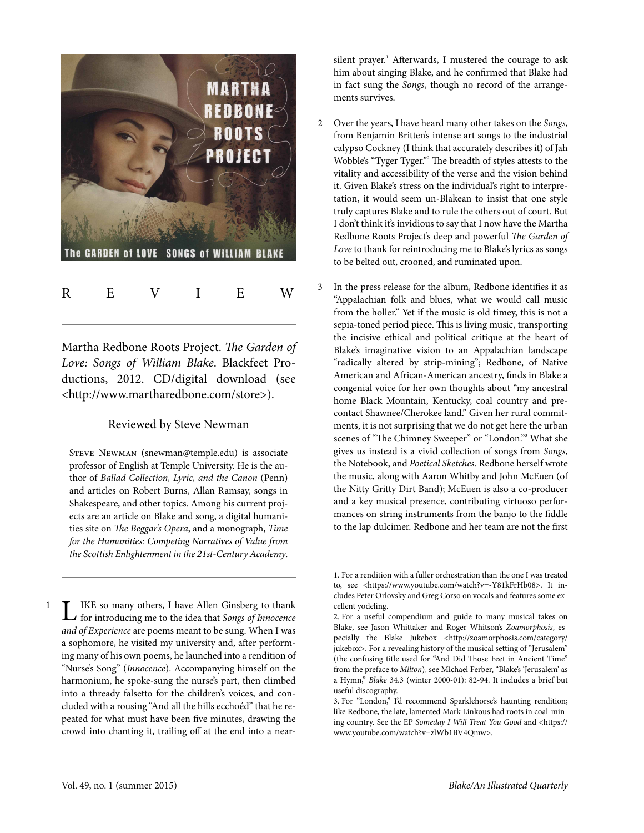

Martha Redbone Roots Project. The Garden of Love: Songs of William Blake. Blackfeet Productions, 2012. CD/digital download (see [<http://www.martharedbone.com/store](http://www.martharedbone.com/store)>).

## Reviewed by Steve Newman

STEVE NEWMAN ([snewman@temple.edu\)](mailto:snewman@temple.edu) is associate professor of English at Temple University. He is the author of Ballad Collection, Lyric, and the Canon (Penn) and articles on Robert Burns, Allan Ramsay, songs in Shakespeare, and other topics. Among his current projects are an article on Blake and song, a digital humanities site on The Beggar's Opera, and a monograph, Time for the Humanities: Competing Narratives of Value from the Scottish Enlightenment in the 21st-Century Academy.

**LE** IKE so many others, I have Allen Ginsberg to thank<br>for introducing me to the idea that Songs of Innocence for introducing me to the idea that Songs of Innocence and of Experience are poems meant to be sung. When I was a sophomore, he visited my university and, after performing many of his own poems, he launched into a rendition of "Nurse's Song" (Innocence). Accompanying himself on the harmonium, he spoke-sung the nurse's part, then climbed into a thready falsetto for the children's voices, and concluded with a rousing "And all the hills ecchoéd" that he repeated for what must have been five minutes, drawing the crowd into chanting it, trailing off at the end into a near-

silent prayer. <sup>1</sup> Afterwards, I mustered the courage to ask him about singing Blake, and he confirmed that Blake had in fact sung the Songs, though no record of the arrangements survives.

- 2 Over the years, I have heard many other takes on the Songs, from Benjamin Britten's intense art songs to the industrial calypso Cockney (I think that accurately describes it) of Jah Wobble's "Tyger Tyger." <sup>2</sup> The breadth of styles attests to the vitality and accessibility of the verse and the vision behind it. Given Blake's stress on the individual's right to interpretation, it would seem un-Blakean to insist that one style truly captures Blake and to rule the others out of court. But I don't think it's invidious to say that I now have the Martha Redbone Roots Project's deep and powerful The Garden of Love to thank for reintroducing me to Blake's lyrics as songs to be belted out, crooned, and ruminated upon.
	- In the press release for the album, Redbone identifies it as "Appalachian folk and blues, what we would call music from the holler." Yet if the music is old timey, this is not a sepia-toned period piece. This is living music, transporting the incisive ethical and political critique at the heart of Blake's imaginative vision to an Appalachian landscape "radically altered by strip-mining"; Redbone, of Native American and African-American ancestry, finds in Blake a congenial voice for her own thoughts about "my ancestral home Black Mountain, Kentucky, coal country and precontact Shawnee/Cherokee land." Given her rural commitments, it is not surprising that we do not get here the urban scenes of "The Chimney Sweeper" or "London." <sup>3</sup> What she gives us instead is a vivid collection of songs from Songs, the Notebook, and Poetical Sketches. Redbone herself wrote the music, along with Aaron Whitby and John McEuen (of the Nitty Gritty Dirt Band); McEuen is also a co-producer and a key musical presence, contributing virtuoso performances on string instruments from the banjo to the fiddle to the lap dulcimer. Redbone and her team are not the first

1

<sup>1.</sup> For a rendition with a fuller orchestration than the one I was treated to, see <[https://www.youtube.com/watch?v=-Y81kFrHb08>](https://www.youtube.com/watch?v=-Y81kFrHb08). It includes Peter Orlovsky and Greg Corso on vocals and features some excellent yodeling.

<sup>2.</sup> For a useful compendium and guide to many musical takes on Blake, see Jason Whittaker and Roger Whitson's Zoamorphosis, especially the Blake Jukebox <[http://zoamorphosis.com/category/](http://zoamorphosis.com/category/jukebox) [jukebox>](http://zoamorphosis.com/category/jukebox). For a revealing history of the musical setting of "Jerusalem" (the confusing title used for "And Did Those Feet in Ancient Time" from the preface to Milton), see Michael Ferber, "Blake's 'Jerusalem' as a Hymn," [Blake](http://bq.blakearchive.org/pdfs/34.3.pdf) 34.3 (winter 2000-01): 82-94. It includes a brief but useful discography.

<sup>3.</sup> For "London," I'd recommend Sparklehorse's haunting rendition; like Redbone, the late, lamented Mark Linkous had roots in coal-mining country. See the EP Someday I Will Treat You Good and <[https://](https://www.youtube.com/watch?v=zlWb1BV4Qmw) [www.youtube.com/watch?v=zlWb1BV4Qmw](https://www.youtube.com/watch?v=zlWb1BV4Qmw)>.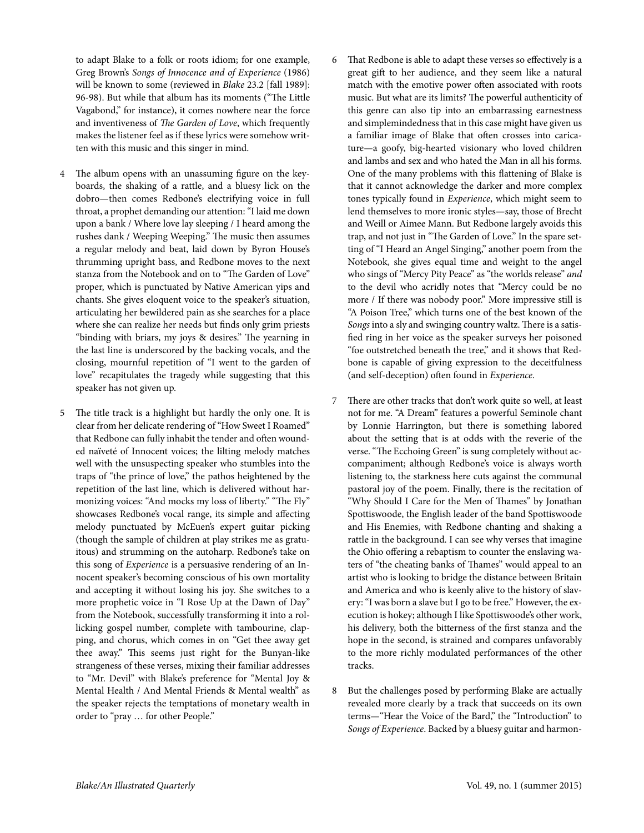to adapt Blake to a folk or roots idiom; for one example, Greg Brown's Songs of Innocence and of Experience (1986) will be known to some (reviewed in [Blake](http://blake.lib.rochester.edu/blakeojs/public/journals/2/BonusFeatures/Brown.pdf) 23.2 [fall 1989]: 96-98). But while that album has its moments ("The Little Vagabond," for instance), it comes nowhere near the force and inventiveness of The Garden of Love, which frequently makes the listener feel as if these lyrics were somehow written with this music and this singer in mind.

- The album opens with an unassuming figure on the keyboards, the shaking of a rattle, and a bluesy lick on the dobro—then comes Redbone's electrifying voice in full throat, a prophet demanding our attention:"I laid me down upon a bank / Where love lay sleeping / I heard among the rushes dank / Weeping Weeping." The music then assumes a regular melody and beat, laid down by Byron House's thrumming upright bass, and Redbone moves to the next stanza from the Notebook and on to "The Garden of Love" proper, which is punctuated by Native American yips and chants. She gives eloquent voice to the speaker's situation, articulating her bewildered pain as she searches for a place where she can realize her needs but finds only grim priests "binding with briars, my joys & desires." The yearning in the last line is underscored by the backing vocals, and the closing, mournful repetition of "I went to the garden of love" recapitulates the tragedy while suggesting that this speaker has not given up.
- 5 The title track is a highlight but hardly the only one. It is clear from her delicate rendering of "How Sweet I Roamed" that Redbone can fully inhabit the tender and often wounded naïveté of Innocent voices; the lilting melody matches well with the unsuspecting speaker who stumbles into the traps of "the prince of love," the pathos heightened by the repetition of the last line, which is delivered without harmonizing voices: "And mocks my loss of liberty." "The Fly" showcases Redbone's vocal range, its simple and affecting melody punctuated by McEuen's expert guitar picking (though the sample of children at play strikes me as gratuitous) and strumming on the autoharp. Redbone's take on this song of Experience is a persuasive rendering of an Innocent speaker's becoming conscious of his own mortality and accepting it without losing his joy. She switches to a more prophetic voice in "I Rose Up at the Dawn of Day" from the Notebook, successfully transforming it into a rollicking gospel number, complete with tambourine, clapping, and chorus, which comes in on "Get thee away get thee away." This seems just right for the Bunyan-like strangeness of these verses, mixing their familiar addresses to "Mr. Devil" with Blake's preference for "Mental Joy & Mental Health / And Mental Friends & Mental wealth" as the speaker rejects the temptations of monetary wealth in order to "pray … for other People."
- 6 That Redbone is able to adapt these verses so effectively is a great gift to her audience, and they seem like a natural match with the emotive power often associated with roots music. But what are its limits? The powerful authenticity of this genre can also tip into an embarrassing earnestness and simplemindedness that in this case might have given us a familiar image of Blake that often crosses into caricature—a goofy, big-hearted visionary who loved children and lambs and sex and who hated the Man in all his forms. One of the many problems with this flattening of Blake is that it cannot acknowledge the darker and more complex tones typically found in Experience, which might seem to lend themselves to more ironic styles—say, those of Brecht and Weill or Aimee Mann. But Redbone largely avoids this trap, and not just in "The Garden of Love." In the spare setting of "I Heard an Angel Singing," another poem from the Notebook, she gives equal time and weight to the angel who sings of "Mercy Pity Peace" as "the worlds release" and to the devil who acridly notes that "Mercy could be no more / If there was nobody poor." More impressive still is "A Poison Tree," which turns one of the best known of the Songs into a sly and swinging country waltz. There is a satisfied ring in her voice as the speaker surveys her poisoned "foe outstretched beneath the tree," and it shows that Redbone is capable of giving expression to the deceitfulness (and self-deception) often found in Experience.
- 7 There are other tracks that don't work quite so well, at least not for me. "A Dream" features a powerful Seminole chant by Lonnie Harrington, but there is something labored about the setting that is at odds with the reverie of the verse."The Ecchoing Green" is sung completely without accompaniment; although Redbone's voice is always worth listening to, the starkness here cuts against the communal pastoral joy of the poem. Finally, there is the recitation of "Why Should I Care for the Men of Thames" by Jonathan Spottiswoode, the English leader of the band Spottiswoode and His Enemies, with Redbone chanting and shaking a rattle in the background. I can see why verses that imagine the Ohio offering a rebaptism to counter the enslaving waters of "the cheating banks of Thames" would appeal to an artist who is looking to bridge the distance between Britain and America and who is keenly alive to the history of slavery:"I was born a slave but I go to be free." However, the execution is hokey; although I like Spottiswoode's other work, his delivery, both the bitterness of the first stanza and the hope in the second, is strained and compares unfavorably to the more richly modulated performances of the other tracks.
- 8 But the challenges posed by performing Blake are actually revealed more clearly by a track that succeeds on its own terms—"Hear the Voice of the Bard," the "Introduction" to Songs of Experience. Backed by a bluesy guitar and harmon-